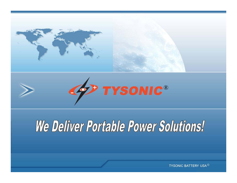



# We Deliver Portable Power Solutions!

**TYSONIC BATTERY USA<sup>C</sup>**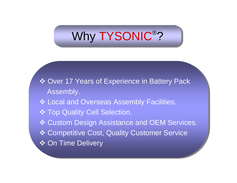#### Why TYSONIC<sup>®</sup>? ® ?

 Over 17 Years of Experience in Battery Pack Over 17 Years of Experience in Battery Pack Assembly. Assembly.

- Local and Overseas Assembly Facilities. Local and Overseas Assembly Facilities.
- Top Quality Cell Selection. Top Quality Cell Selection.
- Custom Design Assistance and OEM Services. Custom Design Assistance and OEM Services.
- Competitive Cost, Quality Customer Service Competitive Cost, Quality Customer Service
- **❖ On Time Delivery**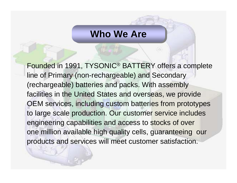#### **Who We Are**

Founded in 1991, TYSONIC® BATTERY offers a complete line of Primary (non-rechargeable) and Secondary (rechargeable) batteries and packs. With assembly facilities in the United States and overseas, we provide OEM services, including custom batteries from prototypes to large scale production. Our customer service includes engineering capabilities and access to stocks of over one million available high quality cells, guaranteeing our products and services will meet customer satisfaction.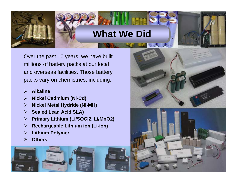# **What We Did What We Did**

山之人人

Over the past 10 years, we have built millions of battery packs at our local and overseas facilities. Those battery packs vary on chemistries, including:

- $\triangleright$ **Alkaline**
- $\blacktriangleright$ **Nickel Cadmium (Ni-Cd)**
- $\blacktriangleright$ **Nickel Metal Hydride (Ni-MH)**
- $\triangleright$ **Sealed Lead Acid SLA)**
- $\triangleright$ **Primary Lithium (Li/SOCl2, Li/MnO2)**
- $\blacktriangleright$ **Rechargeable Lithium ion (Li-ion)**
- $\blacktriangleright$ **Lithium Polymer**
- ¾**Others**

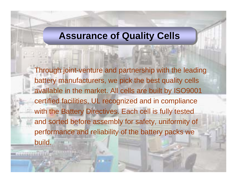### **Assurance of Quality Cells Assurance of Quality Cells**

Through joint-venture and partnership with the leading battery manufacturers, we pick the best quality cells available in the market. All cells are built by ISO9001 certified facilities, UL recognized and in compliance with the Battery Directives. Each cell is fully tested and sorted before assembly for safety, uniformity of performance and reliability of the battery packs we build.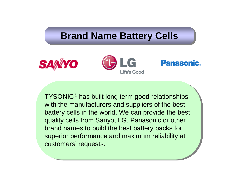### **Brand Name Battery Cells Brand Name Battery Cells**







TYSONIC® has built long term good relationships TYSONIC® has built long term good relationships with the manufacturers and suppliers of the best with the manufacturers and suppliers of the best battery cells in the world. We can provide the best battery cells in the world. We can provide the best quality cells from Sanyo, LG, Panasonic or other quality cells from Sanyo, LG, Panasonic or other brand names to build the best battery packs for brand names to build the best battery packs for superior performance and maximum reliability at superior performance and maximum reliability at customers' requests. customers' requests.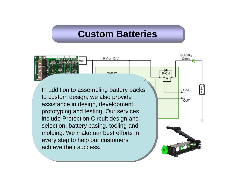### **Custom Batteries Custom Batteries**

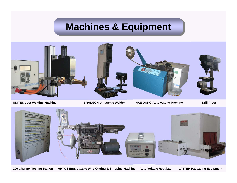# **Machines & Equipment Machines & Equipment**



**UNITEK spot Welding Machine BRANSON Ultrasonic Welder HAE DONG Auto cutting Machine Drill Press**



**200 Channel Testing Station ARTOS Eng.'s Cable Wire Cutting & Stripping Machine Auto Voltage Regulator LATTER Packaging Equipment**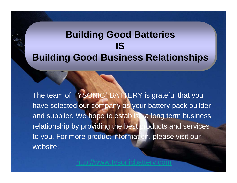# **Building Good Batteries Building Good Batteries ISISBuilding Good Business Relationships Building Good Business Relationships**

The team of TYSONIC<sup>®</sup> BATTERY is grateful that you have selected our company as your battery pack builder and supplier. We hope to establish a long term business relationship by providing the best products and services to you. For more product information, please visit our website:

[http://www.tysonicbattery.com](http://www.tysonicbattery.com/)